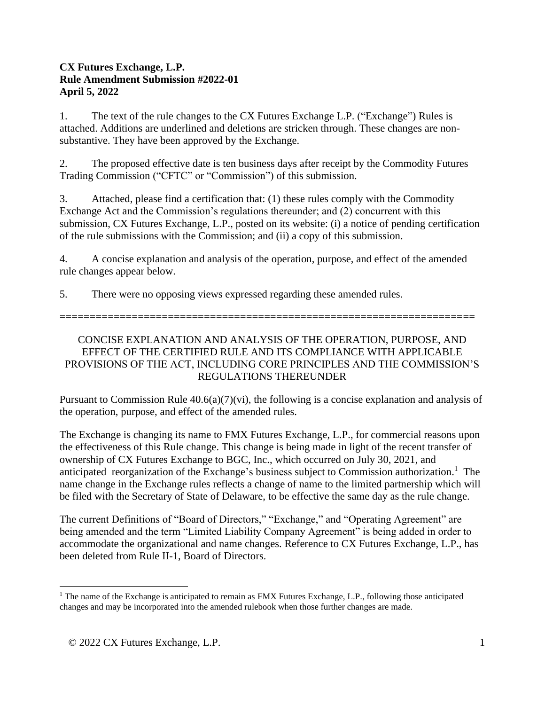## **CX Futures Exchange, L.P. Rule Amendment Submission #2022-01 April 5, 2022**

1. The text of the rule changes to the CX Futures Exchange L.P. ("Exchange") Rules is attached. Additions are underlined and deletions are stricken through. These changes are nonsubstantive. They have been approved by the Exchange.

2. The proposed effective date is ten business days after receipt by the Commodity Futures Trading Commission ("CFTC" or "Commission") of this submission.

3. Attached, please find a certification that: (1) these rules comply with the Commodity Exchange Act and the Commission's regulations thereunder; and (2) concurrent with this submission, CX Futures Exchange, L.P., posted on its website: (i) a notice of pending certification of the rule submissions with the Commission; and (ii) a copy of this submission.

4. A concise explanation and analysis of the operation, purpose, and effect of the amended rule changes appear below.

5. There were no opposing views expressed regarding these amended rules.

=====================================================================

# CONCISE EXPLANATION AND ANALYSIS OF THE OPERATION, PURPOSE, AND EFFECT OF THE CERTIFIED RULE AND ITS COMPLIANCE WITH APPLICABLE PROVISIONS OF THE ACT, INCLUDING CORE PRINCIPLES AND THE COMMISSION'S REGULATIONS THEREUNDER

Pursuant to Commission Rule  $40.6(a)(7)(vi)$ , the following is a concise explanation and analysis of the operation, purpose, and effect of the amended rules.

The Exchange is changing its name to FMX Futures Exchange, L.P., for commercial reasons upon the effectiveness of this Rule change. This change is being made in light of the recent transfer of ownership of CX Futures Exchange to BGC, Inc., which occurred on July 30, 2021, and anticipated reorganization of the Exchange's business subject to Commission authorization. <sup>1</sup> The name change in the Exchange rules reflects a change of name to the limited partnership which will be filed with the Secretary of State of Delaware, to be effective the same day as the rule change.

The current Definitions of "Board of Directors," "Exchange," and "Operating Agreement" are being amended and the term "Limited Liability Company Agreement" is being added in order to accommodate the organizational and name changes. Reference to CX Futures Exchange, L.P., has been deleted from Rule II-1, Board of Directors.

<sup>&</sup>lt;sup>1</sup> The name of the Exchange is anticipated to remain as FMX Futures Exchange, L.P., following those anticipated changes and may be incorporated into the amended rulebook when those further changes are made.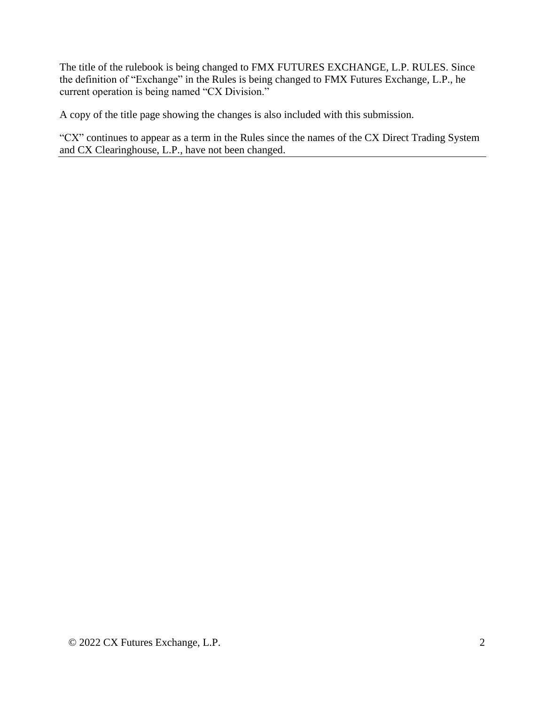The title of the rulebook is being changed to FMX FUTURES EXCHANGE, L.P. RULES. Since the definition of "Exchange" in the Rules is being changed to FMX Futures Exchange, L.P., he current operation is being named "CX Division."

A copy of the title page showing the changes is also included with this submission.

"CX" continues to appear as a term in the Rules since the names of the CX Direct Trading System and CX Clearinghouse, L.P., have not been changed.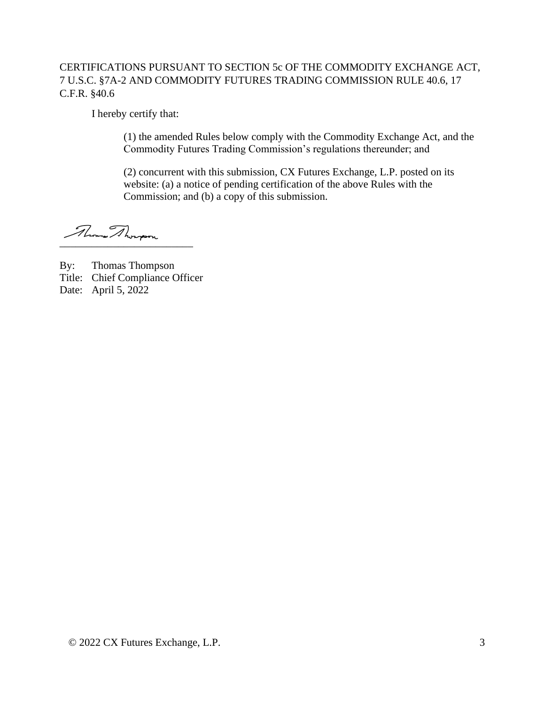# CERTIFICATIONS PURSUANT TO SECTION 5c OF THE COMMODITY EXCHANGE ACT, 7 U.S.C. §7A-2 AND COMMODITY FUTURES TRADING COMMISSION RULE 40.6, 17 C.F.R. §40.6

I hereby certify that:

(1) the amended Rules below comply with the Commodity Exchange Act, and the Commodity Futures Trading Commission's regulations thereunder; and

(2) concurrent with this submission, CX Futures Exchange, L.P. posted on its website: (a) a notice of pending certification of the above Rules with the Commission; and (b) a copy of this submission.

 $\frac{1}{2}$ 

By: Thomas Thompson

Title: Chief Compliance Officer

Date: April 5, 2022